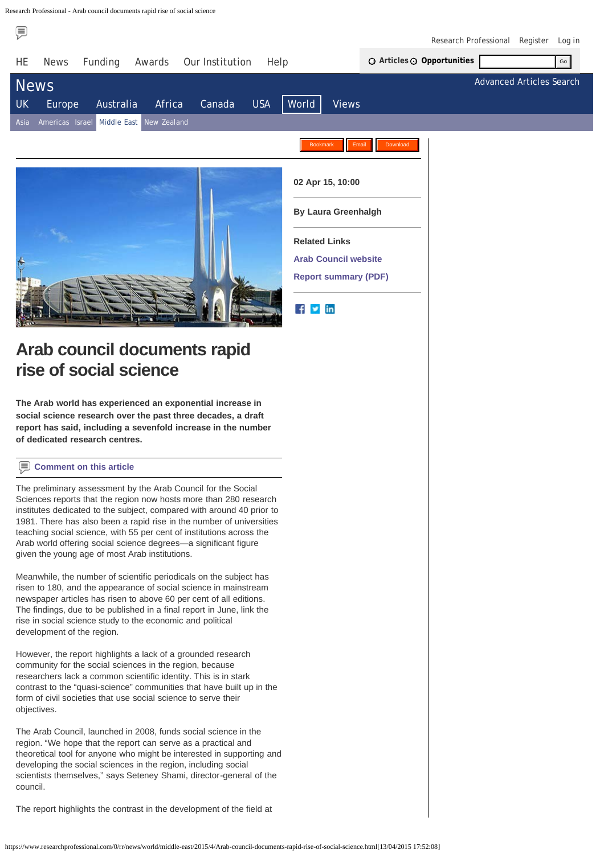<span id="page-0-0"></span>Research Professional - Arab council documents rapid rise of social science

⊜

[Research Professional](https://www.researchprofessional.com/institution) [Register](https://www.researchprofessional.com/self-register) [Log in](https://www.researchprofessional.com/login-sso?loginUrl=https%3a%2f%2fwww.researchprofessional.com%2fsso%2flogin%3fservice%3dhttps%3a%2f%2fwww.researchprofessional.com%2f%2fj_spring_cas_security_check%26force%3dtrue%26renew%3dtrue&redirectUrl=%2f)